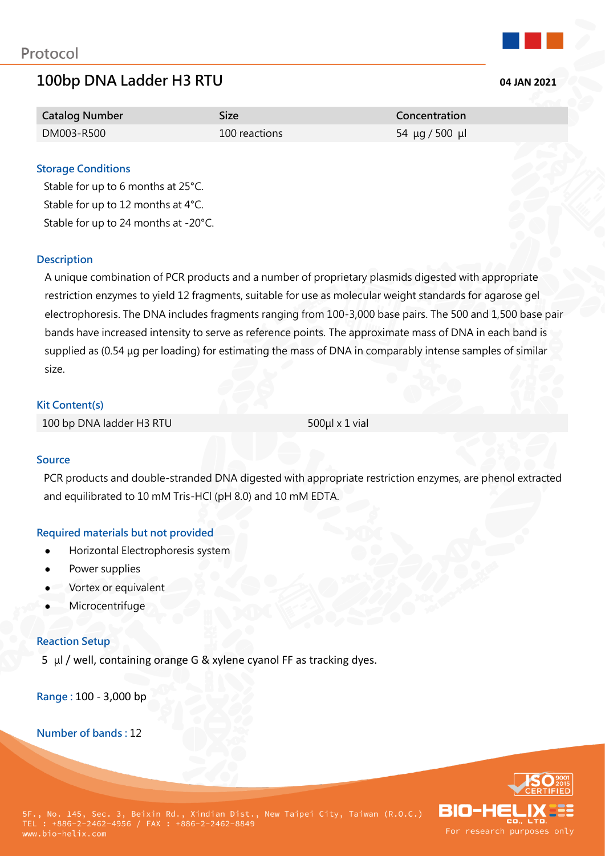# **100bp DNA Ladder H3 RTU 04 JAN 2021**



| <b>Catalog Number</b> | Size          | Concentration  |
|-----------------------|---------------|----------------|
| DM003-R500            | 100 reactions | 54 μg / 500 μl |

# **Storage Conditions**

Stable for up to 6 months at 25°C. Stable for up to 12 months at 4°C. Stable for up to 24 months at -20°C.

# **Description**

A unique combination of PCR products and a number of proprietary plasmids digested with appropriate restriction enzymes to yield 12 fragments, suitable for use as molecular weight standards for agarose gel electrophoresis. The DNA includes fragments ranging from 100-3,000 base pairs. The 500 and 1,500 base pair bands have increased intensity to serve as reference points. The approximate mass of DNA in each band is supplied as (0.54 μg per loading) for estimating the mass of DNA in comparably intense samples of similar size.

# **Kit Content(s)**

100 bp DNA ladder H3 RTU 500μl x 1 vial

# **Source**

PCR products and double-stranded DNA digested with appropriate restriction enzymes, are phenol extracted and equilibrated to 10 mM Tris-HCl (pH 8.0) and 10 mM EDTA.

# **Required materials but not provided**

- Horizontal Electrophoresis system
- Power supplies
- Vortex or equivalent
- **Microcentrifuge**

# **Reaction Setup**

5 μl / well, containing orange G & xylene cyanol FF as tracking dyes.

**Range :** 100 - 3,000 bp

**Number of bands :** 12